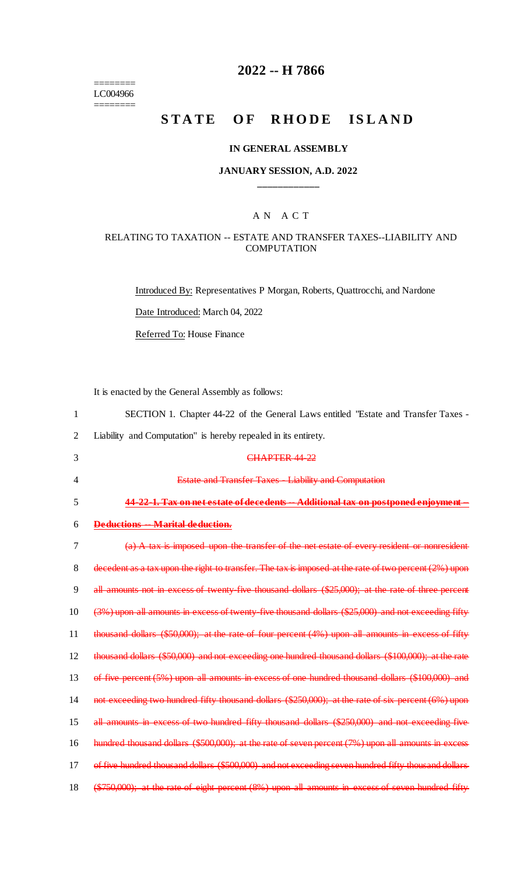======== LC004966 ========

# **2022 -- H 7866**

# STATE OF RHODE ISLAND

#### **IN GENERAL ASSEMBLY**

#### **JANUARY SESSION, A.D. 2022 \_\_\_\_\_\_\_\_\_\_\_\_**

### A N A C T

#### RELATING TO TAXATION -- ESTATE AND TRANSFER TAXES--LIABILITY AND **COMPUTATION**

Introduced By: Representatives P Morgan, Roberts, Quattrocchi, and Nardone

Date Introduced: March 04, 2022

Referred To: House Finance

It is enacted by the General Assembly as follows:

| 1              | SECTION 1. Chapter 44-22 of the General Laws entitled "Estate and Transfer Taxes -                    |
|----------------|-------------------------------------------------------------------------------------------------------|
| $\overline{2}$ | Liability and Computation" is hereby repealed in its entirety.                                        |
| 3              | <b>CHAPTER 44-22</b>                                                                                  |
| 4              | <b>Estate and Transfer Taxes - Liability and Computation</b>                                          |
| 5              | 44-22-1. Tax on net estate of decedents -- Additional tax on postponed enjoyment --                   |
| 6              | <b>Deductions -- Marital deduction.</b>                                                               |
| 7              | $(a)$ A tax is imposed upon the transfer of the net estate of every resident or nonresident           |
| 8              | decedent as a tax upon the right to transfer. The tax is imposed at the rate of two percent (2%) upon |
| 9              | all amounts not in excess of twenty five thousand dollars (\$25,000); at the rate of three percent    |
| 10             | (3%) upon all amounts in excess of twenty five thousand dollars (\$25,000) and not exceeding fifty    |
| 11             | thousand dollars (\$50,000); at the rate of four percent (4%) upon all amounts in excess of fifty     |
| 12             | thousand dollars (\$50,000) and not exceeding one hundred thousand dollars (\$100,000); at the rate   |
| 13             | of five percent (5%) upon all amounts in excess of one hundred thousand dollars (\$100,000) and       |
| 14             | not exceeding two hundred fifty thousand dollars (\$250,000); at the rate of six percent (6%) upon    |
| 15             | all amounts in excess of two hundred fifty thousand dollars (\$250,000) and not exceeding five        |
| 16             | hundred thousand dollars (\$500,000); at the rate of seven percent (7%) upon all amounts in excess    |
| 17             | of five hundred thousand dollars (\$500,000) and not exceeding seven hundred fifty thousand dollars   |
| 18             | (\$750,000); at the rate of eight percent (8%) upon all amounts in excess of seven hundred fifty      |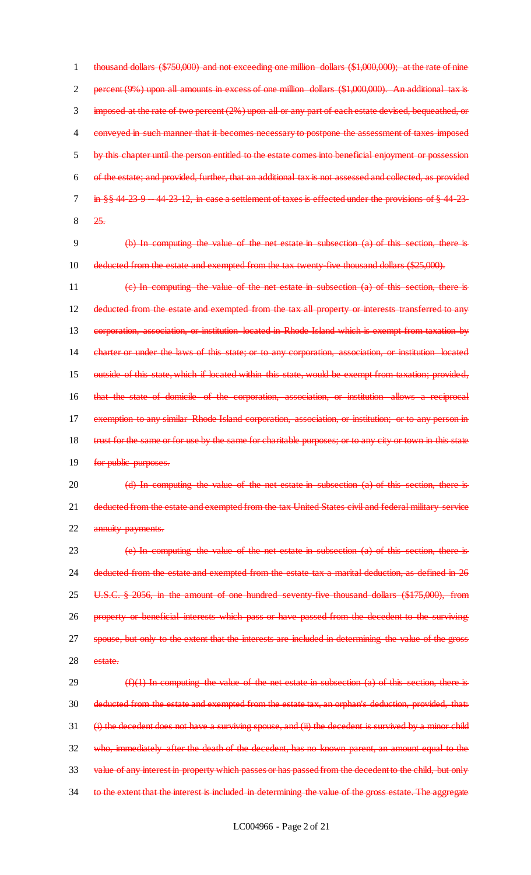thousand dollars (\$750,000) and not exceeding one million dollars (\$1,000,000); at the rate of nine percent (9%) upon all amounts in excess of one million dollars (\$1,000,000). An additional tax is imposed at the rate of two percent (2%) upon all or any part of each estate devised, bequeathed, or 4 conveyed in such manner that it becomes necessary to postpone the assessment of taxes imposed by this chapter until the person entitled to the estate comes into beneficial enjoyment or possession of the estate; and provided, further, that an additional tax is not assessed and collected, as provided 7 in §§ 44-23-9 -- 44-23-12, in case a settlement of taxes is effected under the provisions of § 44-23-8 25.

9 (b) In computing the value of the net estate in subsection (a) of this section, there is 10 deducted from the estate and exempted from the tax twenty-five thousand dollars (\$25,000).

 (c) In computing the value of the net estate in subsection (a) of this section, there is 12 deducted from the estate and exempted from the tax all property or interests transferred to any corporation, association, or institution located in Rhode Island which is exempt from taxation by charter or under the laws of this state; or to any corporation, association, or institution located outside of this state, which if located within this state, would be exempt from taxation; provided, that the state of domicile of the corporation, association, or institution allows a reciprocal exemption to any similar Rhode Island corporation, association, or institution; or to any person in 18 trust for the same or for use by the same for charitable purposes; or to any city or town in this state 19 for public purposes.

20 (d) In computing the value of the net estate in subsection (a) of this section, there is 21 deducted from the estate and exempted from the tax United States civil and federal military service 22 annuity payments.

 (e) In computing the value of the net estate in subsection (a) of this section, there is 24 deducted from the estate and exempted from the estate tax a marital deduction, as defined in 26 U.S.C. § 2056, in the amount of one hundred seventy-five thousand dollars (\$175,000), from property or beneficial interests which pass or have passed from the decedent to the surviving spouse, but only to the extent that the interests are included in determining the value of the gross 28 estate.

29  $(f)(1)$  In computing the value of the net estate in subsection (a) of this section, there is 30 deducted from the estate and exempted from the estate tax, an orphan's deduction, provided, that: 31 (i) the decedent does not have a surviving spouse, and (ii) the decedent is survived by a minor child 32 who, immediately after the death of the decedent, has no known parent, an amount equal to the 33 value of any interest in property which passes or has passed from the decedent to the child, but only 34 to the extent that the interest is included in determining the value of the gross estate. The aggregate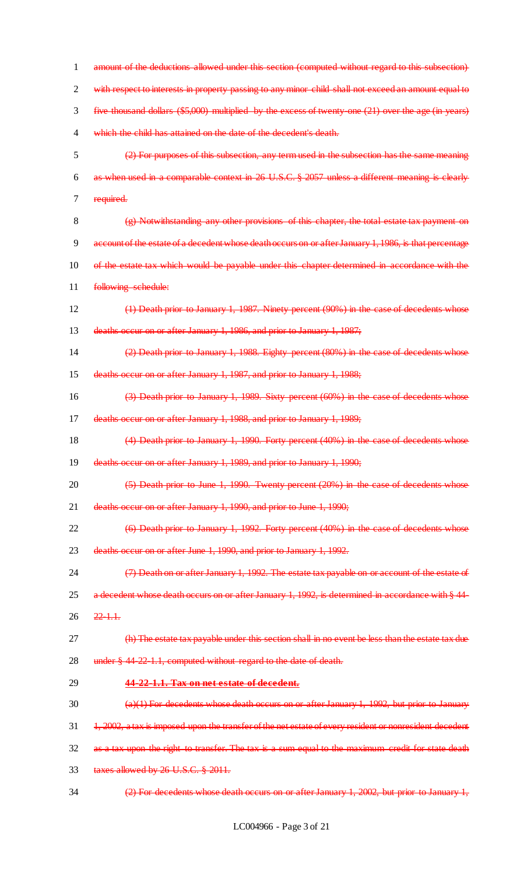amount of the deductions allowed under this section (computed without regard to this subsection) 2 with respect to interests in property passing to any minor child shall not exceed an amount equal to five thousand dollars (\$5,000) multiplied by the excess of twenty-one (21) over the age (in years) which the child has attained on the date of the decedent's death. (2) For purposes of this subsection, any term used in the subsection has the same meaning as when used in a comparable context in 26 U.S.C. § 2057 unless a different meaning is clearly 7 required. (g) Notwithstanding any other provisions of this chapter, the total estate tax payment on 9 account of the estate of a decedent whose death occurs on or after January 1, 1986, is that percentage of the estate tax which would be payable under this chapter determined in accordance with the following schedule: (1) Death prior to January 1, 1987. Ninety percent (90%) in the case of decedents whose 13 deaths occur on or after January 1, 1986, and prior to January 1, 1987; (2) Death prior to January 1, 1988. Eighty percent (80%) in the case of decedents whose deaths occur on or after January 1, 1987, and prior to January 1, 1988; (3) Death prior to January 1, 1989. Sixty percent (60%) in the case of decedents whose deaths occur on or after January 1, 1988, and prior to January 1, 1989; (4) Death prior to January 1, 1990. Forty percent (40%) in the case of decedents whose deaths occur on or after January 1, 1989, and prior to January 1, 1990; (5) Death prior to June 1, 1990. Twenty percent (20%) in the case of decedents whose deaths occur on or after January 1, 1990, and prior to June 1, 1990; (6) Death prior to January 1, 1992. Forty percent (40%) in the case of decedents whose deaths occur on or after June 1, 1990, and prior to January 1, 1992. (7) Death on or after January 1, 1992. The estate tax payable on or account of the estate of 25 a decedent whose death occurs on or after January 1, 1992, is determined in accordance with § 44- $26 \quad 22-1.1.$ **(h)** The estate tax payable under this section shall in no event be less than the estate tax due 28 under § 44-22-1.1, computed without regard to the date of death. **44-22-1.1. Tax on net estate of decedent.** (a)(1) For decedents whose death occurs on or after January 1, 1992, but prior to January 31 1, 2002, a tax is imposed upon the transfer of the net estate of every resident or nonresident decedent as a tax upon the right to transfer. The tax is a sum equal to the maximum credit for state death taxes allowed by 26 U.S.C. § 2011. (2) For decedents whose death occurs on or after January 1, 2002, but prior to January 1,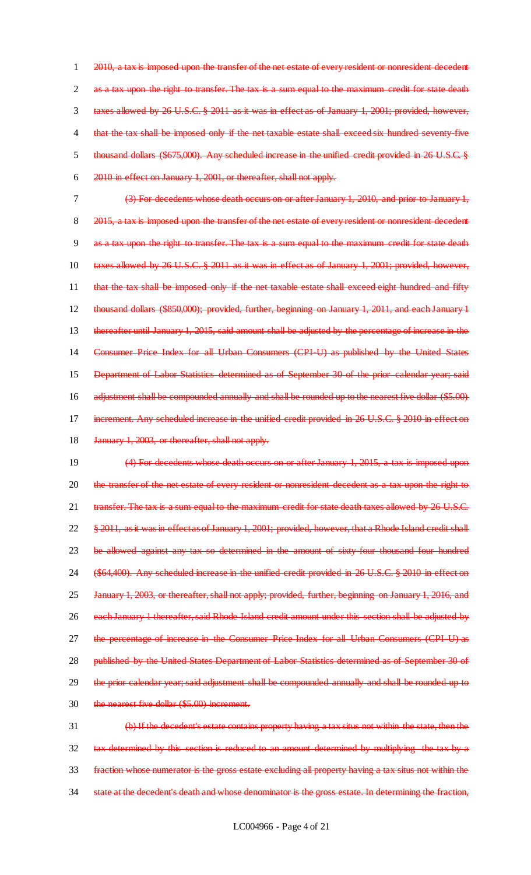1 2010, a tax is imposed upon the transfer of the net estate of every resident or nonresident decedent 2 as a tax upon the right to transfer. The tax is a sum equal to the maximum credit for state death 3 taxes allowed by 26 U.S.C. § 2011 as it was in effect as of January 1, 2001; provided, however, 4 that the tax shall be imposed only if the net taxable estate shall exceed six hundred seventy five 5 thousand dollars (\$675,000). Any scheduled increase in the unified credit provided in 26 U.S.C. § 6 2010 in effect on January 1, 2001, or thereafter, shall not apply.

7 (3) For decedents whose death occurs on or after January 1, 2010, and prior to January 1, 8 2015, a tax is imposed upon the transfer of the net estate of every resident or nonresident decedent 9 as a tax upon the right to transfer. The tax is a sum equal to the maximum credit for state death 10 taxes allowed by 26 U.S.C. § 2011 as it was in effect as of January 1, 2001; provided, however, 11 that the tax shall be imposed only if the net taxable estate shall exceed eight hundred and fifty 12 thousand dollars (\$850,000); provided, further, beginning on January 1, 2011, and each January 1 13 thereafter until January 1, 2015, said amount shall be adjusted by the percentage of increase in the 14 Consumer Price Index for all Urban Consumers (CPI-U) as published by the United States 15 Department of Labor Statistics determined as of September 30 of the prior calendar year; said 16 adjustment shall be compounded annually and shall be rounded up to the nearest five dollar (\$5.00) 17 increment. Any scheduled increase in the unified credit provided in 26 U.S.C. § 2010 in effect on 18 January 1, 2003, or thereafter, shall not apply.

19 (4) For decedents whose death occurs on or after January 1, 2015, a tax is imposed upon 20 the transfer of the net estate of every resident or nonresident decedent as a tax upon the right to 21 transfer. The tax is a sum equal to the maximum credit for state death taxes allowed by 26 U.S.C. 22 § 2011, as it was in effect as of January 1, 2001; provided, however, that a Rhode Island credit shall 23 be allowed against any tax so determined in the amount of sixty-four thousand four hundred 24 (\$64,400). Any scheduled increase in the unified credit provided in 26 U.S.C. § 2010 in effect on 25 January 1, 2003, or thereafter, shall not apply; provided, further, beginning on January 1, 2016, and 26 each January 1 thereafter, said Rhode Island credit amount under this section shall be adjusted by 27 the percentage of increase in the Consumer Price Index for all Urban Consumers (CPI-U) as 28 published by the United States Department of Labor Statistics determined as of September 30 of 29 the prior calendar year; said adjustment shall be compounded annually and shall be rounded up to 30 the nearest five dollar (\$5.00) increment.

 (b) If the decedent's estate contains property having a tax situs not within the state, then the tax determined by this section is reduced to an amount determined by multiplying the tax by a fraction whose numerator is the gross estate excluding all property having a tax situs not within the 34 state at the decedent's death and whose denominator is the gross estate. In determining the fraction,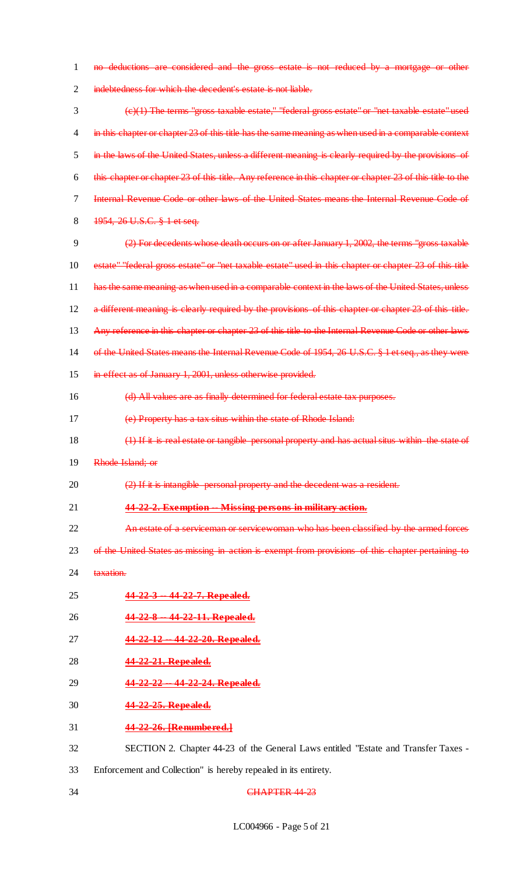no deductions are considered and the gross estate is not reduced by a mortgage or other 2 indebtedness for which the decedent's estate is not liable.

 (c)(1) The terms "gross taxable estate," "federal gross estate" or "net taxable estate" used 4 in this chapter or chapter 23 of this title has the same meaning as when used in a comparable context in the laws of the United States, unless a different meaning is clearly required by the provisions of this chapter or chapter 23 of this title. Any reference in this chapter or chapter 23 of this title to the Internal Revenue Code or other laws of the United States means the Internal Revenue Code of 8 1954, 26 U.S.C. § 1 et seq.

- (2) For decedents whose death occurs on or after January 1, 2002, the terms "gross taxable estate" "federal gross estate" or "net taxable estate" used in this chapter or chapter 23 of this title 11 has the same meaning as when used in a comparable context in the laws of the United States, unless 12 a different meaning is clearly required by the provisions of this chapter or chapter 23 of this title. 13 Any reference in this chapter or chapter 23 of this title to the Internal Revenue Code or other laws of the United States means the Internal Revenue Code of 1954, 26 U.S.C. § 1 et seq., as they were in effect as of January 1, 2001, unless otherwise provided. (d) All values are as finally determined for federal estate tax purposes.
- (e) Property has a tax situs within the state of Rhode Island:
- (1) If it is real estate or tangible personal property and has actual situs within the state of
- Rhode Island; or
- 20 (2) If it is intangible personal property and the decedent was a resident.
- **44-22-2. Exemption -- Missing persons in military action.**
- An estate of a serviceman or servicewoman who has been classified by the armed forces
- 23 of the United States as missing in action is exempt from provisions of this chapter pertaining to
- 24 taxation
- **44-22-3 -- 44-22-7. Repealed.**
- **44-22-8 -- 44-22-11. Repealed.**
- **44-22-12 -- 44-22-20. Repealed.**
- **44-22-21. Repealed.**
- **44-22-22 -- 44-22-24. Repealed.**
- **44-22-25. Repealed.**
- **44-22-26. [Renumbered.]**

SECTION 2. Chapter 44-23 of the General Laws entitled "Estate and Transfer Taxes -

- Enforcement and Collection" is hereby repealed in its entirety.
-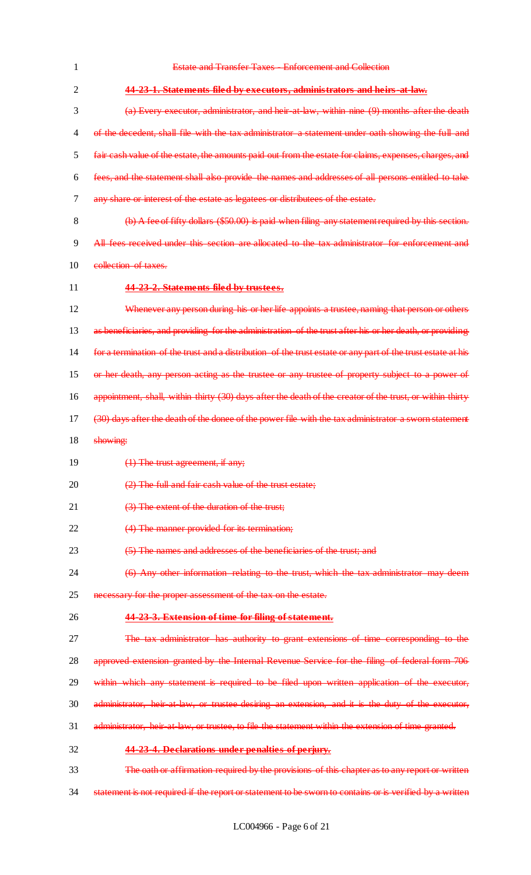| $\mathbf{1}$   | <b>Estate and Transfer Taxes Enforcement and Collection</b>                                                  |
|----------------|--------------------------------------------------------------------------------------------------------------|
| $\overline{2}$ | 44-23-1. Statements filed by executors, administrators and heirs-at-law.                                     |
| 3              | (a) Every executor, administrator, and heir at law, within nine (9) months after the death                   |
| 4              | of the decedent, shall file with the tax administrator a statement under oath showing the full and           |
| 5              | fair cash value of the estate, the amounts paid out from the estate for claims, expenses, charges, and       |
| 6              | fees, and the statement shall also provide the names and addresses of all persons entitled to take           |
| 7              | any share or interest of the estate as legatees or distributees of the estate.                               |
| 8              | (b) A fee of fifty dollars (\$50.00) is paid when filing any statement required by this section.             |
| 9              | All fees received under this section are allocated to the tax administrator for enforcement and              |
| 10             | collection of taxes.                                                                                         |
| 11             | 44-23-2. Statements filed by trustees.                                                                       |
| 12             | Whenever any person during his or her life appoints a trustee, naming that person or others                  |
| 13             | as beneficiaries, and providing for the administration of the trust after his or her death, or providing     |
| 14             | for a termination of the trust and a distribution of the trust estate or any part of the trust estate at his |
| 15             | or her death, any person acting as the trustee or any trustee of property subject to a power of              |
| 16             | appointment, shall, within thirty (30) days after the death of the creator of the trust, or within thirty    |
| 17             | (30) days after the death of the donee of the power file with the tax administrator a sworn statement        |
| 18             | showing:                                                                                                     |
| 19             | $(1)$ The trust agreement, if any;                                                                           |
| 20             | (2) The full and fair cash value of the trust estate;                                                        |
| 21             | (3) The extent of the duration of the trust;                                                                 |
| 22             | (4) The manner provided for its termination;                                                                 |
| 23             | (5) The names and addresses of the beneficiaries of the trust; and                                           |
| 24             | (6) Any other information relating to the trust, which the tax administrator may deem                        |
| 25             | necessary for the proper assessment of the tax on the estate.                                                |
| 26             | 44-23-3. Extension of time for filing of statement.                                                          |
| 27             | The tax administrator has authority to grant extensions of time corresponding to the                         |
| 28             | approved extension granted by the Internal Revenue Service for the filing of federal form 706                |
| 29             | within which any statement is required to be filed upon written application of the executor,                 |
| 30             | administrator, heir at law, or trustee desiring an extension, and it is the duty of the executor,            |
| 31             | administrator, heir at law, or trustee, to file the statement within the extension of time granted.          |
| 32             | 44-23-4. Declarations under penalties of perjury.                                                            |
| 33             | The oath or affirmation required by the provisions of this chapter as to any report or written               |
| 34             | statement is not required if the report or statement to be sworn to contains or is verified by a written     |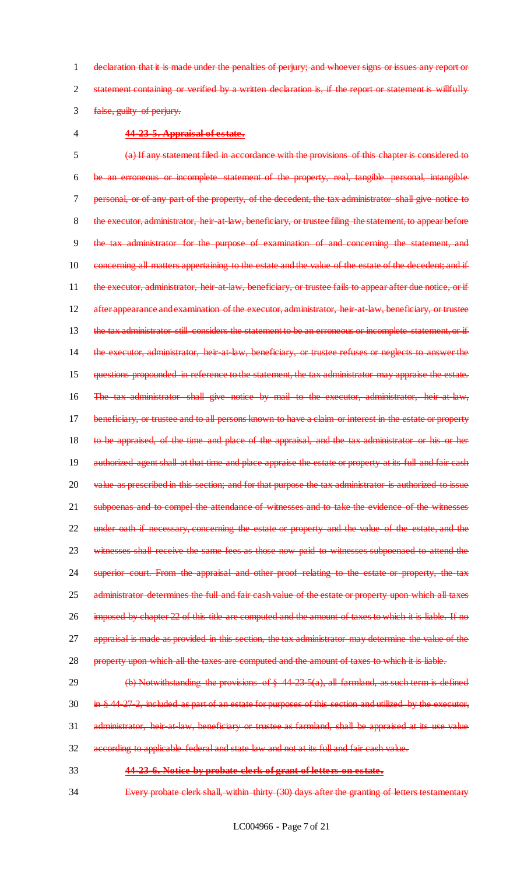1 declaration that it is made under the penalties of perjury; and whoever signs or issues any report or 2 statement containing or verified by a written declaration is, if the report or statement is willfully

3 false, guilty of perjury.

#### 4 **44-23-5. Appraisal of estate.**

5 (a) If any statement filed in accordance with the provisions of this chapter is considered to 6 be an erroneous or incomplete statement of the property, real, tangible personal, intangible 7 personal, or of any part of the property, of the decedent, the tax administrator shall give notice to 8 the executor, administrator, heir-at-law, beneficiary, or trustee filing the statement, to appear before 9 the tax administrator for the purpose of examination of and concerning the statement, and 10 concerning all matters appertaining to the estate and the value of the estate of the decedent; and if 11 the executor, administrator, heir-at-law, beneficiary, or trustee fails to appear after due notice, or if 12 after appearance and examination of the executor, administrator, heir-at-law, beneficiary, or trustee 13 the tax administrator still considers the statement to be an erroneous or incomplete statement, or if 14 the executor, administrator, heir at law, beneficiary, or trustee refuses or neglects to answer the 15 questions propounded in reference to the statement, the tax administrator may appraise the estate. 16 The tax administrator shall give notice by mail to the executor, administrator, heir at law, 17 beneficiary, or trustee and to all persons known to have a claim or interest in the estate or property 18 to be appraised, of the time and place of the appraisal, and the tax administrator or his or her 19 authorized agent shall at that time and place appraise the estate or property at its full and fair cash 20 value as prescribed in this section; and for that purpose the tax administrator is authorized to issue 21 subpoenas and to compel the attendance of witnesses and to take the evidence of the witnesses 22 under oath if necessary, concerning the estate or property and the value of the estate, and the 23 witnesses shall receive the same fees as those now paid to witnesses subpoenaed to attend the 24 superior court. From the appraisal and other proof relating to the estate or property, the tax 25 administrator determines the full and fair cash value of the estate or property upon which all taxes 26 imposed by chapter 22 of this title are computed and the amount of taxes to which it is liable. If no 27 appraisal is made as provided in this section, the tax administrator may determine the value of the 28 property upon which all the taxes are computed and the amount of taxes to which it is liable.

# 29 (b) Notwithstanding the provisions of  $\frac{6}{5}$  44-23-5(a), all farmland, as such term is defined 30 in § 44-27-2, included as part of an estate for purposes of this section and utilized by the executor, 31 administrator, heir at law, beneficiary or trustee as farmland, shall be appraised at its use value

- 32 according to applicable federal and state law and not at its full and fair cash value.
- 

#### 33 **44-23-6. Notice by probate clerk of grant of letters on estate.**

34 Every probate clerk shall, within thirty (30) days after the granting of letters testamentary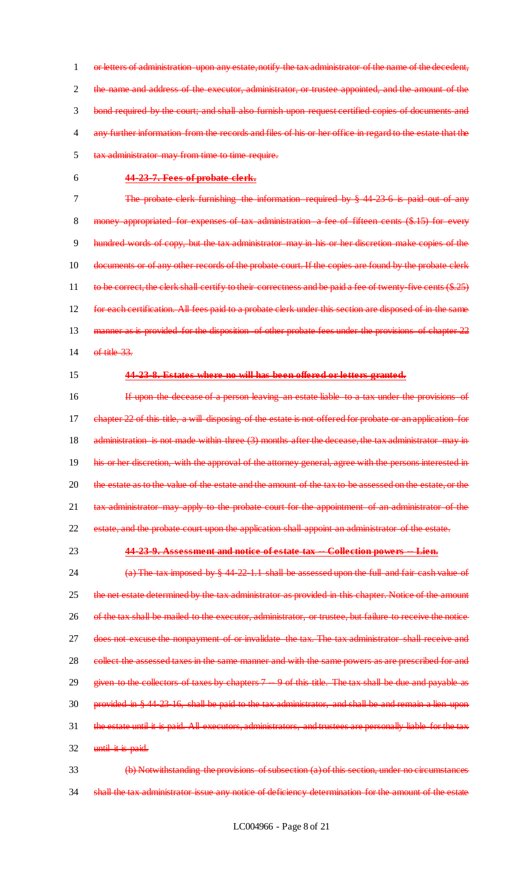1 or letters of administration upon any estate, notify the tax administrator of the name of the decedent, 2 the name and address of the executor, administrator, or trustee appointed, and the amount of the 3 bond required by the court; and shall also furnish upon request certified copies of documents and 4 any further information from the records and files of his or her office in regard to the estate that the 5 tax administrator may from time to time require.

#### 6 **44-23-7. Fees of probate clerk.**

7 The probate clerk furnishing the information required by § 44-23-6 is paid out of any 8 money appropriated for expenses of tax administration a fee of fifteen cents (\$.15) for every 9 hundred words of copy, but the tax administrator may in his or her discretion make copies of the 10 documents or of any other records of the probate court. If the copies are found by the probate clerk 11 to be correct, the clerk shall certify to their correctness and be paid a fee of twenty-five cents (\$.25) 12 for each certification. All fees paid to a probate clerk under this section are disposed of in the same 13 manner as is provided for the disposition of other probate fees under the provisions of chapter 22 14 of title 33.

#### 15 **44-23-8. Estates where no will has been offered or letters granted.**

16 **If upon the decease of a person leaving an estate liable to a tax under the provisions of** 17 chapter 22 of this title, a will disposing of the estate is not offered for probate or an application for 18 administration is not made within three (3) months after the decease, the tax administrator may in 19 his or her discretion, with the approval of the attorney general, agree with the persons interested in 20 the estate as to the value of the estate and the amount of the tax to be assessed on the estate, or the 21 tax administrator may apply to the probate court for the appointment of an administrator of the 22 estate, and the probate court upon the application shall appoint an administrator of the estate.

#### 23 **44-23-9. Assessment and notice of estate tax -- Collection powers -- Lien.**

24 (a) The tax imposed by § 44-22-1.1 shall be assessed upon the full and fair cash value of 25 the net estate determined by the tax administrator as provided in this chapter. Notice of the amount 26 of the tax shall be mailed to the executor, administrator, or trustee, but failure to receive the notice 27 does not excuse the nonpayment of or invalidate the tax. The tax administrator shall receive and 28 collect the assessed taxes in the same manner and with the same powers as are prescribed for and 29 given to the collectors of taxes by chapters 7 -9 of this title. The tax shall be due and payable as 30 provided in § 44-23-16, shall be paid to the tax administrator, and shall be and remain a lien upon 31 the estate until it is paid. All executors, administrators, and trustees are personally liable for the tax 32 until it is paid.

33 (b) Notwithstanding the provisions of subsection (a) of this section, under no circumstances 34 shall the tax administrator issue any notice of deficiency determination for the amount of the estate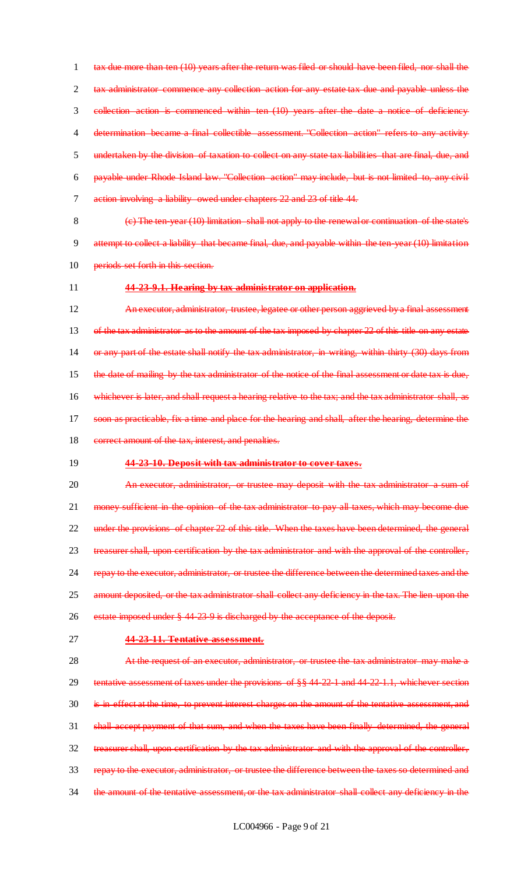tax due more than ten (10) years after the return was filed or should have been filed, nor shall the tax administrator commence any collection action for any estate tax due and payable unless the collection action is commenced within ten (10) years after the date a notice of deficiency 4 determination became a final collectible assessment. "Collection action" refers to any activity undertaken by the division of taxation to collect on any state tax liabilities that are final, due, and payable under Rhode Island law. "Collection action" may include, but is not limited to, any civil action involving a liability owed under chapters 22 and 23 of title 44.

8 (c) The ten-year (10) limitation shall not apply to the renewal or continuation of the state's 9 attempt to collect a liability that became final, due, and payable within the ten-year (10) limitation 10 periods set forth in this section.

#### 11 **44-23-9.1. Hearing by tax administrator on application.**

12 **An executor, administrator, trustee, legatee or other person aggrieved by a final assessment** 13 of the tax administrator as to the amount of the tax imposed by chapter 22 of this title on any estate 14 or any part of the estate shall notify the tax administrator, in writing, within thirty (30) days from 15 the date of mailing by the tax administrator of the notice of the final assessment or date tax is due, 16 whichever is later, and shall request a hearing relative to the tax; and the tax administrator shall, as 17 soon as practicable, fix a time and place for the hearing and shall, after the hearing, determine the 18 correct amount of the tax, interest, and penalties.

- 
- 

#### 19 **44-23-10. Deposit with tax administrator to cover taxes.**

20 An executor, administrator, or trustee may deposit with the tax administrator a sum of 21 money sufficient in the opinion of the tax administrator to pay all taxes, which may become due 22 under the provisions of chapter 22 of this title. When the taxes have been determined, the general 23 treasurer shall, upon certification by the tax administrator and with the approval of the controller, 24 repay to the executor, administrator, or trustee the difference between the determined taxes and the 25 amount deposited, or the tax administrator shall collect any deficiency in the tax. The lien upon the 26 estate imposed under § 44-23-9 is discharged by the acceptance of the deposit.

27 **44-23-11. Tentative assessment.**

28 At the request of an executor, administrator, or trustee the tax administrator may make a 29 tentative assessment of taxes under the provisions of §§ 44-22-1 and 44-22-1.1, whichever section 30 is in effect at the time, to prevent interest charges on the amount of the tentative assessment, and 31 shall accept payment of that sum, and when the taxes have been finally determined, the general 32 treasurer shall, upon certification by the tax administrator and with the approval of the controller, 33 repay to the executor, administrator, or trustee the difference between the taxes so determined and 34 the amount of the tentative assessment, or the tax administrator shall collect any deficiency in the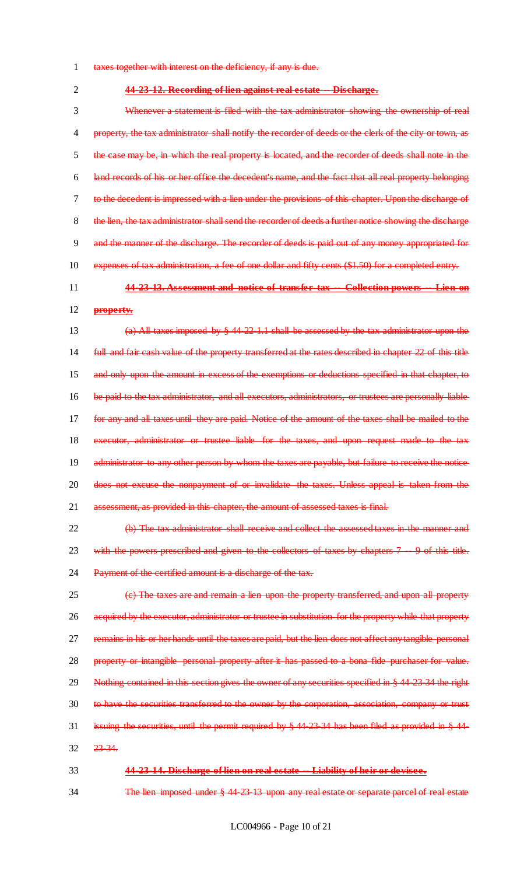- 1 taxes together with interest on the deficiency, if any is due.
- 

#### 2 **44-23-12. Recording of lien against real estate -- Discharge.**

3 Whenever a statement is filed with the tax administrator showing the ownership of real 4 property, the tax administrator shall notify the recorder of deeds or the clerk of the city or town, as 5 the case may be, in which the real property is located, and the recorder of deeds shall note in the 6 land records of his or her office the decedent's name, and the fact that all real property belonging 7 to the decedent is impressed with a lien under the provisions of this chapter. Upon the discharge of 8 the lien, the tax administrator shall send the recorder of deeds a further notice showing the discharge 9 and the manner of the discharge. The recorder of deeds is paid out of any money appropriated for 10 expenses of tax administration, a fee of one dollar and fifty cents (\$1.50) for a completed entry.

# 11 **44-23-13. Assessment and notice of transfer tax -- Collection powers -- Lien on**

#### 12 **property.**

13 (a) All taxes imposed by § 44-22-1.1 shall be assessed by the tax administrator upon the 14 full and fair cash value of the property transferred at the rates described in chapter 22 of this title 15 and only upon the amount in excess of the exemptions or deductions specified in that chapter, to 16 be paid to the tax administrator, and all executors, administrators, or trustees are personally liable 17 for any and all taxes until they are paid. Notice of the amount of the taxes shall be mailed to the 18 executor, administrator or trustee liable for the taxes, and upon request made to the tax 19 administrator to any other person by whom the taxes are payable, but failure to receive the notice 20 does not excuse the nonpayment of or invalidate the taxes. Unless appeal is taken from the 21 assessment, as provided in this chapter, the amount of assessed taxes is final.

22 (b) The tax administrator shall receive and collect the assessed taxes in the manner and 23 with the powers prescribed and given to the collectors of taxes by chapters 7 -- 9 of this title. 24 Payment of the certified amount is a discharge of the tax.

25 (c) The taxes are and remain a lien upon the property transferred, and upon all property 26 acquired by the executor, administrator or trustee in substitution for the property while that property 27 remains in his or her hands until the taxes are paid, but the lien does not affect any tangible personal 28 property or intangible personal property after it has passed to a bona fide purchaser for value. 29 Nothing contained in this section gives the owner of any securities specified in § 44-23-34 the right 30 to have the securities transferred to the owner by the corporation, association, company or trust 31 issuing the securities, until the permit required by § 44-23-34 has been filed as provided in § 44- 32 23-34.

#### 33 **44-23-14. Discharge of lien on real estate -- Liability of heir or devisee.**

34 The lien imposed under § 44-23-13 upon any real estate or separate parcel of real estate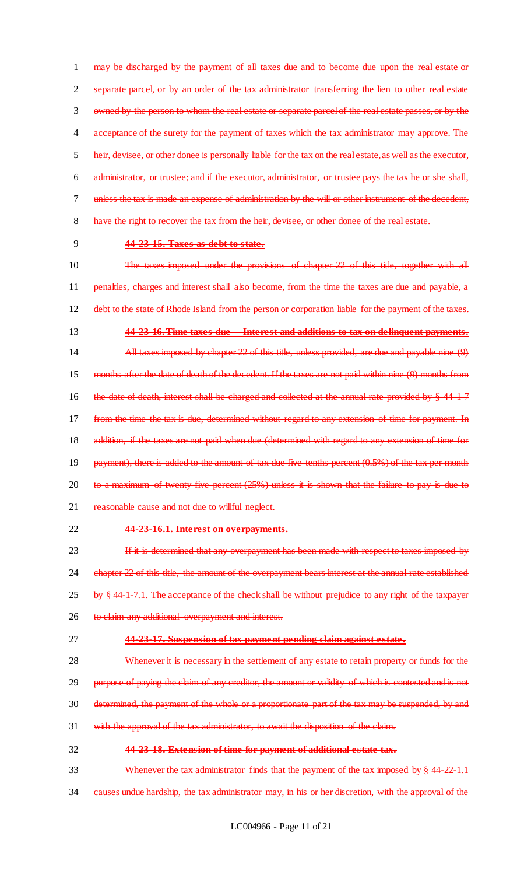may be discharged by the payment of all taxes due and to become due upon the real estate or 2 separate parcel, or by an order of the tax administrator transferring the lien to other real estate owned by the person to whom the real estate or separate parcel of the real estate passes, or by the acceptance of the surety for the payment of taxes which the tax administrator may approve. The heir, devisee, or other donee is personally liable for the tax on the real estate, as well as the executor, administrator, or trustee; and if the executor, administrator, or trustee pays the tax he or she shall, unless the tax is made an expense of administration by the will or other instrument of the decedent, 8 have the right to recover the tax from the heir, devisee, or other donee of the real estate.

#### 9 **44-23-15. Taxes as debt to state.**

10 The taxes imposed under the provisions of chapter 22 of this title, together with all 11 penalties, charges and interest shall also become, from the time the taxes are due and payable, a 12 debt to the state of Rhode Island from the person or corporation liable for the payment of the taxes. 13 **44-23-16. Time taxes due -- Interest and additions to tax on delinquent payments.** 14 **All taxes imposed by chapter 22 of this title, unless provided, are due and payable nine (9)** 15 months after the date of death of the decedent. If the taxes are not paid within nine (9) months from 16 the date of death, interest shall be charged and collected at the annual rate provided by § 44-1-7 17 from the time the tax is due, determined without regard to any extension of time for payment. In 18 addition, if the taxes are not paid when due (determined with regard to any extension of time for 19 payment), there is added to the amount of tax due five-tenths percent  $(0.5%)$  of the tax per month 20 to a maximum of twenty-five percent (25%) unless it is shown that the failure to pay is due to 21 reasonable cause and not due to willful neglect.

#### 22 **44-23-16.1. Interest on overpayments.**

**If it is determined that any overpayment has been made with respect to taxes imposed by** 24 chapter 22 of this title, the amount of the overpayment bears interest at the annual rate established by  $\frac{8}{3}$  44-1-7.1. The acceptance of the check shall be without prejudice to any right of the taxpayer to claim any additional overpayment and interest.

#### 27 **44-23-17. Suspension of tax payment pending claim against estate.**

28 Whenever it is necessary in the settlement of any estate to retain property or funds for the 29 purpose of paying the claim of any creditor, the amount or validity of which is contested and is not 30 determined, the payment of the whole or a proportionate part of the tax may be suspended, by and 31 with the approval of the tax administrator, to await the disposition of the claim.

#### 32 **44-23-18. Extension of time for payment of additional estate tax.**

- 33 Whenever the tax administrator finds that the payment of the tax imposed by § 44-22-1.1
- 34 causes undue hardship, the tax administrator may, in his or her discretion, with the approval of the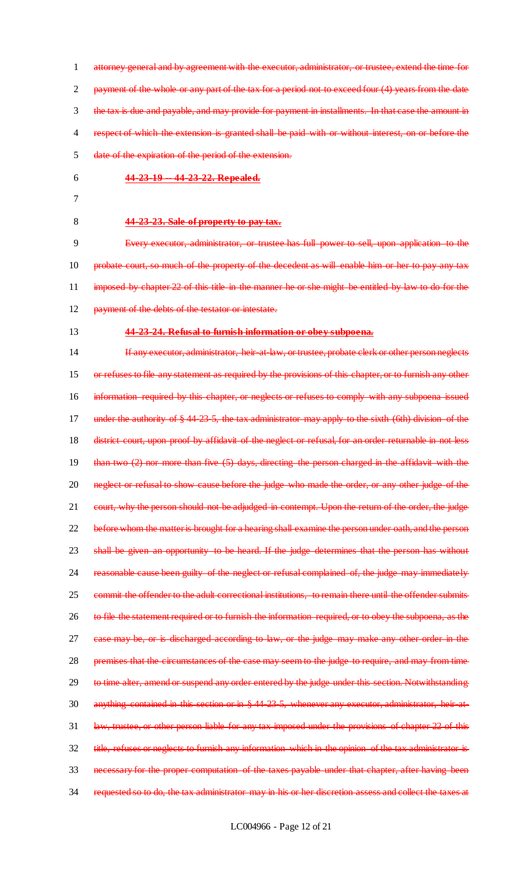- 1 attorney general and by agreement with the executor, administrator, or trustee, extend the time for 2 payment of the whole or any part of the tax for a period not to exceed four (4) years from the date 3 the tax is due and payable, and may provide for payment in installments. In that case the amount in 4 respect of which the extension is granted shall be paid with or without interest, on or before the 5 date of the expiration of the period of the extension.
- 

6 **44-23-19 -- 44-23-22. Repealed.**

- 7
- 

#### 8 **44-23-23. Sale of property to pay tax.**

9 Every executor, administrator, or trustee has full power to sell, upon application to the 10 probate court, so much of the property of the decedent as will enable him or her to pay any tax 11 imposed by chapter 22 of this title in the manner he or she might be entitled by law to do for the

- 12 payment of the debts of the testator or intestate.
- 

### 13 **44-23-24. Refusal to furnish information or obey subpoena.**

14 If any executor, administrator, heir at law, or trustee, probate clerk or other person neglects 15 or refuses to file any statement as required by the provisions of this chapter, or to furnish any other 16 information required by this chapter, or neglects or refuses to comply with any subpoena issued 17 under the authority of § 44-23-5, the tax administrator may apply to the sixth (6th) division of the 18 district court, upon proof by affidavit of the neglect or refusal, for an order returnable in not less 19 than two (2) nor more than five (5) days, directing the person charged in the affidavit with the 20 neglect or refusal to show cause before the judge who made the order, or any other judge of the 21 court, why the person should not be adjudged in contempt. Upon the return of the order, the judge 22 before whom the matter is brought for a hearing shall examine the person under oath, and the person 23 shall be given an opportunity to be heard. If the judge determines that the person has without 24 reasonable cause been guilty of the neglect or refusal complained of, the judge may immediately 25 commit the offender to the adult correctional institutions, to remain there until the offender submits 26 to file the statement required or to furnish the information required, or to obey the subpoena, as the 27 case may be, or is discharged according to law, or the judge may make any other order in the 28 premises that the circumstances of the case may seem to the judge to require, and may from time 29 to time alter, amend or suspend any order entered by the judge under this section. Notwithstanding 30 anything contained in this section or in § 44-23-5, whenever any executor, administrator, heir-at-31 law, trustee, or other person liable for any tax imposed under the provisions of chapter 22 of this 32 title, refuses or neglects to furnish any information which in the opinion of the tax administrator is 33 necessary for the proper computation of the taxes payable under that chapter, after having been 34 requested so to do, the tax administrator may in his or her discretion assess and collect the taxes at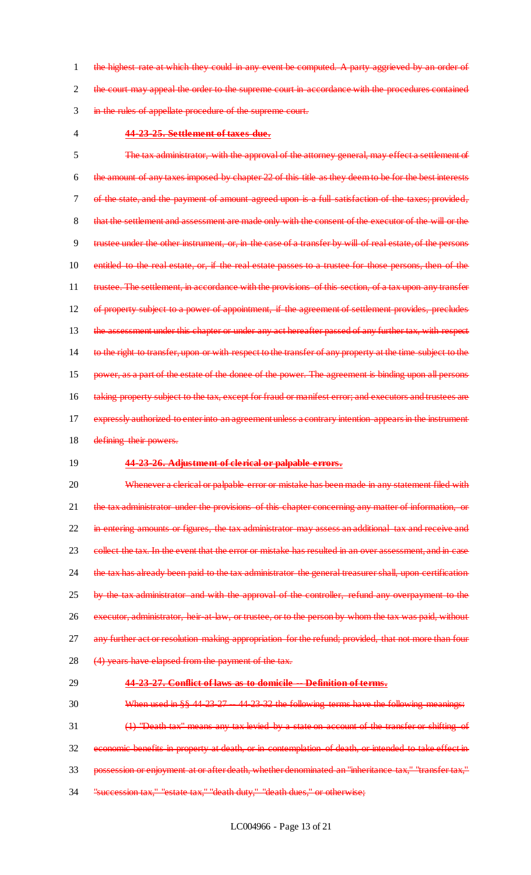1 the highest rate at which they could in any event be computed. A party aggrieved by an order of 2 the court may appeal the order to the supreme court in accordance with the procedures contained 3 in the rules of appellate procedure of the supreme court.

#### 4 **44-23-25. Settlement of taxes due.**

 The tax administrator, with the approval of the attorney general, may effect a settlement of the amount of any taxes imposed by chapter 22 of this title as they deem to be for the best interests 7 of the state, and the payment of amount agreed upon is a full satisfaction of the taxes; provided, that the settlement and assessment are made only with the consent of the executor of the will or the trustee under the other instrument, or, in the case of a transfer by will of real estate, of the persons entitled to the real estate, or, if the real estate passes to a trustee for those persons, then of the 11 trustee. The settlement, in accordance with the provisions of this section, of a tax upon any transfer of property subject to a power of appointment, if the agreement of settlement provides, precludes 13 the assessment under this chapter or under any act hereafter passed of any further tax, with respect 14 to the right to transfer, upon or with respect to the transfer of any property at the time subject to the power, as a part of the estate of the donee of the power. The agreement is binding upon all persons 16 taking property subject to the tax, except for fraud or manifest error; and executors and trustees are expressly authorized to enter into an agreement unless a contrary intention appears in the instrument

18 <del>defining their powers.</del>

#### 19 **44-23-26. Adjustment of clerical or palpable errors.**

20 Whenever a clerical or palpable error or mistake has been made in any statement filed with 21 the tax administrator under the provisions of this chapter concerning any matter of information, or 22 in entering amounts or figures, the tax administrator may assess an additional tax and receive and 23 collect the tax. In the event that the error or mistake has resulted in an over assessment, and in case 24 the tax has already been paid to the tax administrator the general treasurer shall, upon certification 25 by the tax administrator and with the approval of the controller, refund any overpayment to the 26 executor, administrator, heir-at-law, or trustee, or to the person by whom the tax was paid, without 27 any further act or resolution making appropriation for the refund; provided, that not more than four 28 (4) years have elapsed from the payment of the tax.

#### 29 **44-23-27. Conflict of laws as to domicile -- Definition of terms.**

30 When used in §§ 44-23-27 -- 44-23-32 the following terms have the following meanings:

31 (1) "Death tax" means any tax levied by a state on account of the transfer or shifting of 32 economic benefits in property at death, or in contemplation of death, or intended to take effect in 33 possession or enjoyment at or after death, whether denominated an "inheritance tax," "transfer tax,"

34 "succession tax," "estate tax," "death duty," "death dues," or otherwise;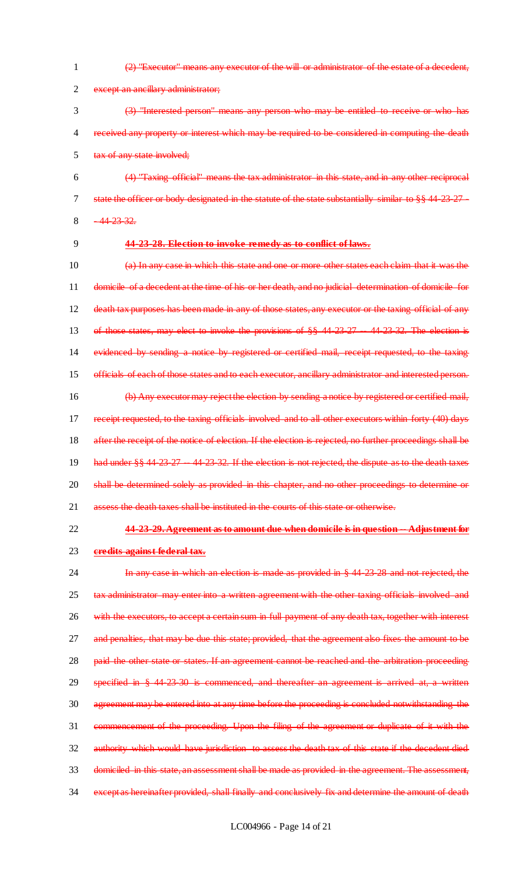- 1 (2) "Executor" means any executor of the will or administrator of the estate of a decedent, 2 except an ancillary administrator;
- 3 (3) "Interested person" means any person who may be entitled to receive or who has 4 received any property or interest which may be required to be considered in computing the death 5 tax of any state involved;
- 6 (4) "Taxing official" means the tax administrator in this state, and in any other reciprocal 7 state the officer or body designated in the statute of the state substantially similar to §§ 44-23-27 8  $-44-23-32.$
- 

### 9 **44-23-28. Election to invoke remedy as to conflict of laws.**

10 (a) In any case in which this state and one or more other states each claim that it was the 11 domicile of a decedent at the time of his or her death, and no judicial determination of domicile for 12 death tax purposes has been made in any of those states, any executor or the taxing official of any 13 of those states, may elect to invoke the provisions of §§ 44-23-27 -- 44-23-32. The election is 14 evidenced by sending a notice by registered or certified mail, receipt requested, to the taxing 15 officials of each of those states and to each executor, ancillary administrator and interested person. 16 (b) Any executor may reject the election by sending a notice by registered or certified mail, 17 receipt requested, to the taxing officials involved and to all other executors within forty (40) days 18 after the receipt of the notice of election. If the election is rejected, no further proceedings shall be 19 had under §§ 44-23-27 -- 44-23-32. If the election is not rejected, the dispute as to the death taxes 20 shall be determined solely as provided in this chapter, and no other proceedings to determine or 21 assess the death taxes shall be instituted in the courts of this state or otherwise.

# 22 **44-23-29. Agreement as to amount due when domicile is in question -- Adjustment for**

23 **credits against federal tax.**

24 In any case in which an election is made as provided in § 44-23-28 and not rejected, the 25 tax administrator may enter into a written agreement with the other taxing officials involved and 26 with the executors, to accept a certain sum in full payment of any death tax, together with interest 27 and penalties, that may be due this state; provided, that the agreement also fixes the amount to be 28 paid the other state or states. If an agreement cannot be reached and the arbitration proceeding 29 specified in § 44-23-30 is commenced, and thereafter an agreement is arrived at, a written 30 agreement may be entered into at any time before the proceeding is concluded notwithstanding the 31 commencement of the proceeding. Upon the filing of the agreement or duplicate of it with the 32 authority which would have jurisdiction to assess the death tax of this state if the decedent died 33 domiciled in this state, an assessment shall be made as provided in the agreement. The assessment, 34 except as hereinafter provided, shall finally and conclusively fix and determine the amount of death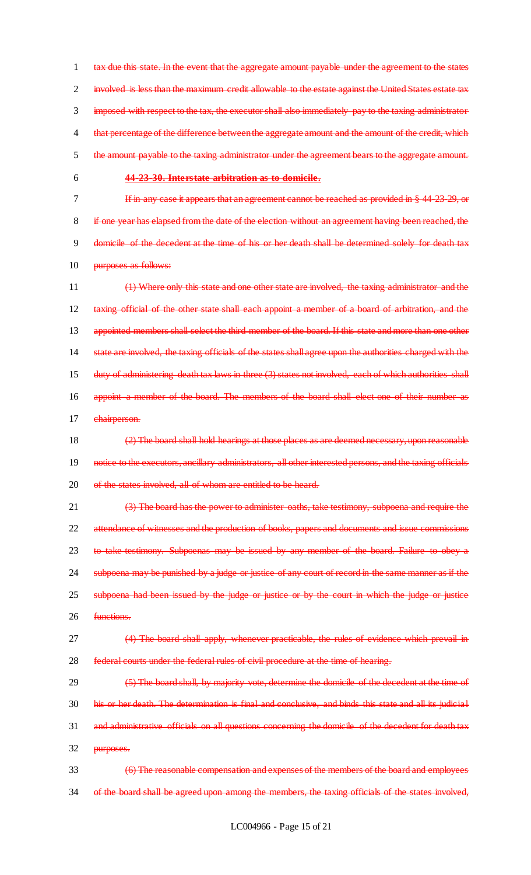1 tax due this state. In the event that the aggregate amount payable under the agreement to the states 2 involved is less than the maximum credit allowable to the estate against the United States estate tax 3 imposed with respect to the tax, the executor shall also immediately pay to the taxing administrator 4 that percentage of the difference between the aggregate amount and the amount of the credit, which 5 the amount payable to the taxing administrator under the agreement bears to the aggregate amount.

#### 6 **44-23-30. Interstate arbitration as to domicile.**

7 If in any case it appears that an agreement cannot be reached as provided in § 44-23-29, or 8 if one year has elapsed from the date of the election without an agreement having been reached, the 9 domicile of the decedent at the time of his or her death shall be determined solely for death tax 10 purposes as follows:

11 (1) Where only this state and one other state are involved, the taxing administrator and the 12 taxing official of the other state shall each appoint a member of a board of arbitration, and the 13 appointed members shall select the third member of the board. If this state and more than one other 14 state are involved, the taxing officials of the states shall agree upon the authorities charged with the 15 duty of administering death tax laws in three (3) states not involved, each of which authorities shall 16 appoint a member of the board. The members of the board shall elect one of their number as 17 chairperson.

18 (2) The board shall hold hearings at those places as are deemed necessary, upon reasonable 19 notice to the executors, ancillary administrators, all other interested persons, and the taxing officials 20 of the states involved, all of whom are entitled to be heard.

 (3) The board has the power to administer oaths, take testimony, subpoena and require the attendance of witnesses and the production of books, papers and documents and issue commissions to take testimony. Subpoenas may be issued by any member of the board. Failure to obey a 24 subpoena may be punished by a judge or justice of any court of record in the same manner as if the subpoena had been issued by the judge or justice or by the court in which the judge or justice 26 functions.

27 (4) The board shall apply, whenever practicable, the rules of evidence which prevail in 28 federal courts under the federal rules of civil procedure at the time of hearing.

 (5) The board shall, by majority vote, determine the domicile of the decedent at the time of his or her death. The determination is final and conclusive, and binds this state and all its judicial 31 and administrative officials on all questions concerning the domicile of the decedent for death tax purposes.

33 (6) The reasonable compensation and expenses of the members of the board and employees 34 of the board shall be agreed upon among the members, the taxing officials of the states involved,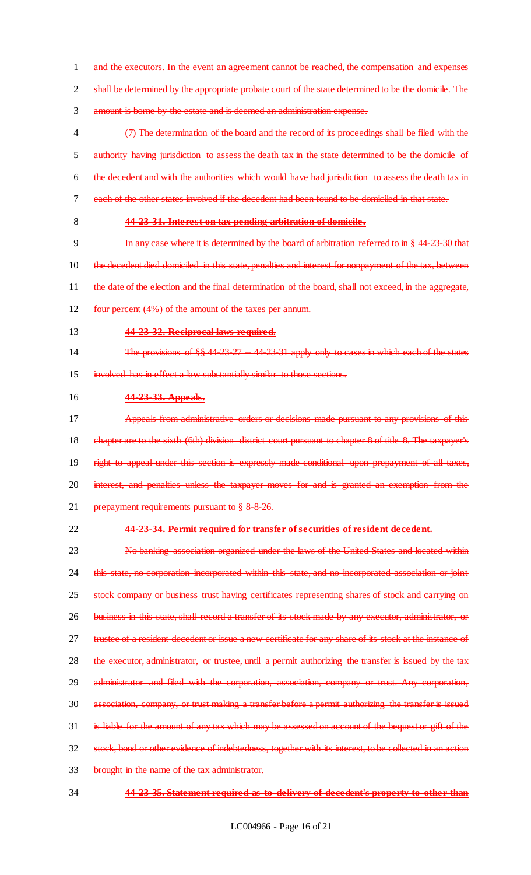shall be determined by the appropriate probate court of the state determined to be the domicile. The amount is borne by the estate and is deemed an administration expense. (7) The determination of the board and the record of its proceedings shall be filed with the authority having jurisdiction to assess the death tax in the state determined to be the domicile of the decedent and with the authorities which would have had jurisdiction to assess the death tax in each of the other states involved if the decedent had been found to be domiciled in that state. **44-23-31. Interest on tax pending arbitration of domicile.** In any case where it is determined by the board of arbitration referred to in § 44-23-30 that 10 the decedent died domiciled in this state, penalties and interest for nonpayment of the tax, between the date of the election and the final determination of the board, shall not exceed, in the aggregate, four percent (4%) of the amount of the taxes per annum. **44-23-32. Reciprocal laws required.** 14 The provisions of §§ 44-23-27 -- 44-23-31 apply only to cases in which each of the states

and the executors. In the event an agreement cannot be reached, the compensation and expenses

involved has in effect a law substantially similar to those sections.

#### **44-23-33. Appeals.**

 Appeals from administrative orders or decisions made pursuant to any provisions of this 18 chapter are to the sixth (6th) division district court pursuant to chapter 8 of title 8. The taxpayer's right to appeal under this section is expressly made conditional upon prepayment of all taxes, 20 interest, and penalties unless the taxpayer moves for and is granted an exemption from the 21 prepayment requirements pursuant to § 8-8-26.

#### **44-23-34. Permit required for transfer of securities of resident decedent.**

 No banking association organized under the laws of the United States and located within this state, no corporation incorporated within this state, and no incorporated association or joint 25 stock company or business trust having certificates representing shares of stock and carrying on business in this state, shall record a transfer of its stock made by any executor, administrator, or 27 trustee of a resident decedent or issue a new certificate for any share of its stock at the instance of 28 the executor, administrator, or trustee, until a permit authorizing the transfer is issued by the tax 29 administrator and filed with the corporation, association, company or trust. Any corporation, association, company, or trust making a transfer before a permit authorizing the transfer is issued is liable for the amount of any tax which may be assessed on account of the bequest or gift of the stock, bond or other evidence of indebtedness, together with its interest, to be collected in an action brought in the name of the tax administrator.

**44-23-35. Statement required as to delivery of decedent's property to other than**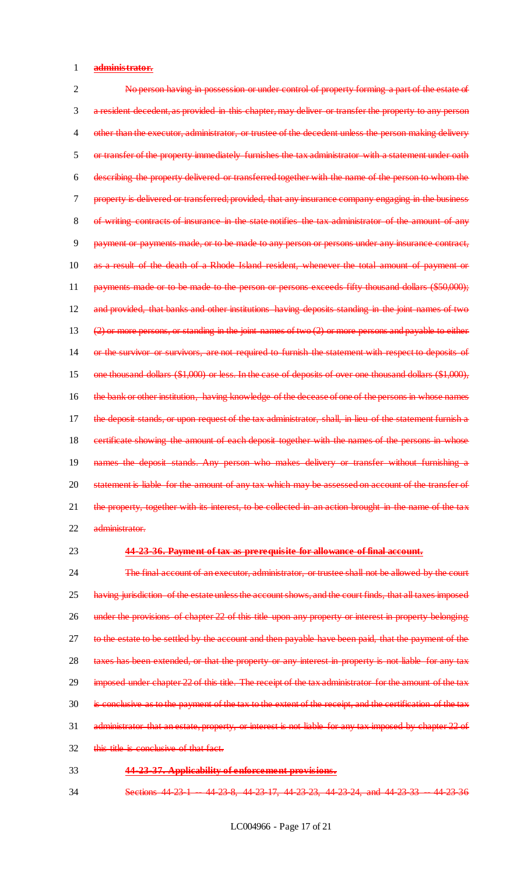#### 1 **administrator.**

 No person having in possession or under control of property forming a part of the estate of a resident decedent, as provided in this chapter, may deliver or transfer the property to any person 4 other than the executor, administrator, or trustee of the decedent unless the person making delivery or transfer of the property immediately furnishes the tax administrator with a statement under oath describing the property delivered or transferred together with the name of the person to whom the property is delivered or transferred; provided, that any insurance company engaging in the business 8 of writing contracts of insurance in the state notifies the tax administrator of the amount of any payment or payments made, or to be made to any person or persons under any insurance contract, as a result of the death of a Rhode Island resident, whenever the total amount of payment or 11 payments made or to be made to the person or persons exceeds fifty thousand dollars (\$50,000); and provided, that banks and other institutions having deposits standing in the joint names of two (2) or more persons, or standing in the joint names of two (2) or more persons and payable to either or the survivor or survivors, are not required to furnish the statement with respect to deposits of one thousand dollars (\$1,000) or less. In the case of deposits of over one thousand dollars (\$1,000), 16 the bank or other institution, having knowledge of the decease of one of the persons in whose names the deposit stands, or upon request of the tax administrator, shall, in lieu of the statement furnish a 18 certificate showing the amount of each deposit together with the names of the persons in whose names the deposit stands. Any person who makes delivery or transfer without furnishing a 20 statement is liable for the amount of any tax which may be assessed on account of the transfer of 21 the property, together with its interest, to be collected in an action brought in the name of the tax administrator.

#### 23 **44-23-36. Payment of tax as prerequisite for allowance of final account.**

24 The final account of an executor, administrator, or trustee shall not be allowed by the court 25 having jurisdiction of the estate unless the account shows, and the court finds, that all taxes imposed 26 under the provisions of chapter 22 of this title upon any property or interest in property belonging 27 to the estate to be settled by the account and then payable have been paid, that the payment of the 28 taxes has been extended, or that the property or any interest in property is not liable for any tax 29 imposed under chapter 22 of this title. The receipt of the tax administrator for the amount of the tax 30 is conclusive as to the payment of the tax to the extent of the receipt, and the certification of the tax 31 administrator that an estate, property, or interest is not liable for any tax imposed by chapter 22 of 32 this title is conclusive of that fact.

- 33 **44-23-37. Applicability of enforcement provisions.**
- 34 Sections 44-23-1 -- 44-23-8, 44-23-17, 44-23-23, 44-23-24, and 44-23-33 -- 44-23-36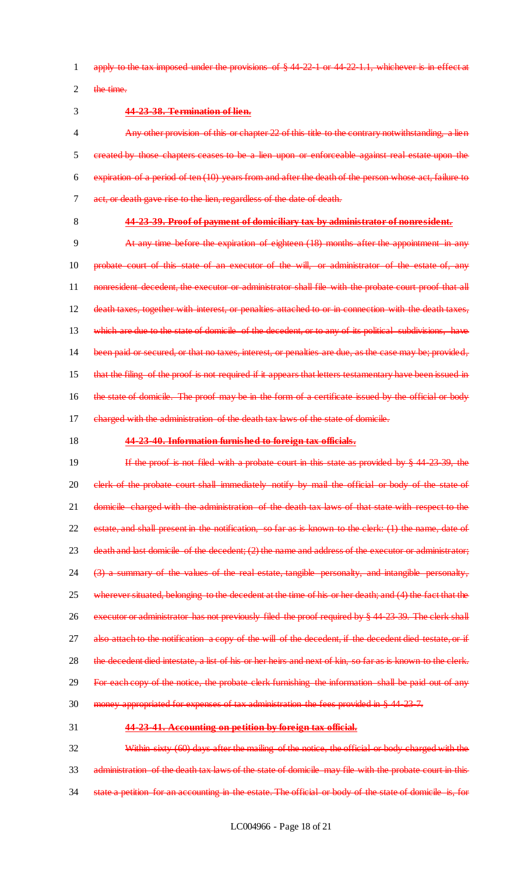1 apply to the tax imposed under the provisions of  $\S 44-22-1$  or  $44-22-1.1$ , whichever is in effect at

2 the time.

#### 3 **44-23-38. Termination of lien.**

 Any other provision of this or chapter 22 of this title to the contrary notwithstanding, a lien created by those chapters ceases to be a lien upon or enforceable against real estate upon the expiration of a period of ten (10) years from and after the death of the person whose act, failure to act, or death gave rise to the lien, regardless of the date of death.

### 8 **44-23-39. Proof of payment of domiciliary tax by administrator of nonresident.**

9 At any time before the expiration of eighteen (18) months after the appointment in any 10 probate court of this state of an executor of the will, or administrator of the estate of, any 11 nonresident decedent, the executor or administrator shall file with the probate court proof that all 12 death taxes, together with interest, or penalties attached to or in connection with the death taxes, 13 which are due to the state of domicile of the decedent, or to any of its political subdivisions, have 14 been paid or secured, or that no taxes, interest, or penalties are due, as the case may be; provided, 15 that the filing of the proof is not required if it appears that letters testamentary have been issued in 16 the state of domicile. The proof may be in the form of a certificate issued by the official or body 17 charged with the administration of the death tax laws of the state of domicile.

#### 18 **44-23-40. Information furnished to foreign tax officials.**

19 If the proof is not filed with a probate court in this state as provided by § 44-23-39, the 20 clerk of the probate court shall immediately notify by mail the official or body of the state of 21 domicile charged with the administration of the death tax laws of that state with respect to the 22 estate, and shall present in the notification, so far as is known to the clerk: (1) the name, date of 23 death and last domicile of the decedent; (2) the name and address of the executor or administrator; 24 (3) a summary of the values of the real estate, tangible personalty, and intangible personalty, 25 wherever situated, belonging to the decedent at the time of his or her death; and (4) the fact that the 26 executor or administrator has not previously filed the proof required by § 44-23-39. The clerk shall 27 also attach to the notification a copy of the will of the decedent, if the decedent died testate, or if 28 the decedent died intestate, a list of his or her heirs and next of kin, so far as is known to the clerk. 29 For each copy of the notice, the probate clerk furnishing the information shall be paid out of any 30 money appropriated for expenses of tax administration the fees provided in § 44-23-7.

#### 31 **44-23-41. Accounting on petition by foreign tax official.**

32 Within sixty (60) days after the mailing of the notice, the official or body charged with the 33 administration of the death tax laws of the state of domicile may file with the probate court in this 34 state a petition for an accounting in the estate. The official or body of the state of domicile is, for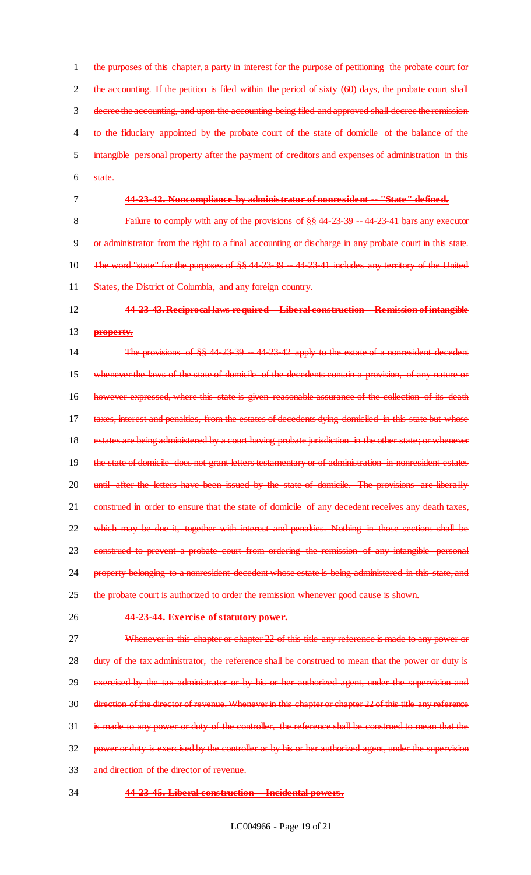the purposes of this chapter, a party in interest for the purpose of petitioning the probate court for the accounting. If the petition is filed within the period of sixty (60) days, the probate court shall decree the accounting, and upon the accounting being filed and approved shall decree the remission to the fiduciary appointed by the probate court of the state of domicile of the balance of the intangible personal property after the payment of creditors and expenses of administration in this 6 state.

### 7 **44-23-42. Noncompliance by administrator of nonresident -- "State" defined.**

8 Failure to comply with any of the provisions of §§ 44-23-39 -- 44-23-41 bars any executor 9 or administrator from the right to a final accounting or discharge in any probate court in this state. 10 The word "state" for the purposes of §§ 44-23-39 -- 44-23-41 includes any territory of the United 11 States, the District of Columbia, and any foreign country.

# 12 **44-23-43. Reciprocal laws required -- Liberal construction -- Remission of intangible**

13 **property.**

14 The provisions of §§ 44-23-39 44-23-42 apply to the estate of a nonresident decedent 15 whenever the laws of the state of domicile of the decedents contain a provision, of any nature or 16 however expressed, where this state is given reasonable assurance of the collection of its death 17 taxes, interest and penalties, from the estates of decedents dying domiciled in this state but whose 18 estates are being administered by a court having probate jurisdiction in the other state; or whenever 19 the state of domicile does not grant letters testamentary or of administration in nonresident estates 20 until after the letters have been issued by the state of domicile. The provisions are liberally 21 construed in order to ensure that the state of domicile of any decedent receives any death taxes, 22 which may be due it, together with interest and penalties. Nothing in those sections shall be 23 construed to prevent a probate court from ordering the remission of any intangible personal 24 property belonging to a nonresident decedent whose estate is being administered in this state, and

25 the probate court is authorized to order the remission whenever good cause is shown.

#### 26 **44-23-44. Exercise of statutory power.**

27 Whenever in this chapter or chapter 22 of this title any reference is made to any power or 28 duty of the tax administrator, the reference shall be construed to mean that the power or duty is 29 exercised by the tax administrator or by his or her authorized agent, under the supervision and 30 direction of the director of revenue. Whenever in this chapter or chapter 22 of this title any reference 31 is made to any power or duty of the controller, the reference shall be construed to mean that the 32 power or duty is exercised by the controller or by his or her authorized agent, under the supervision 33 and direction of the director of revenue.

#### 34 **44-23-45. Liberal construction -- Incidental powers.**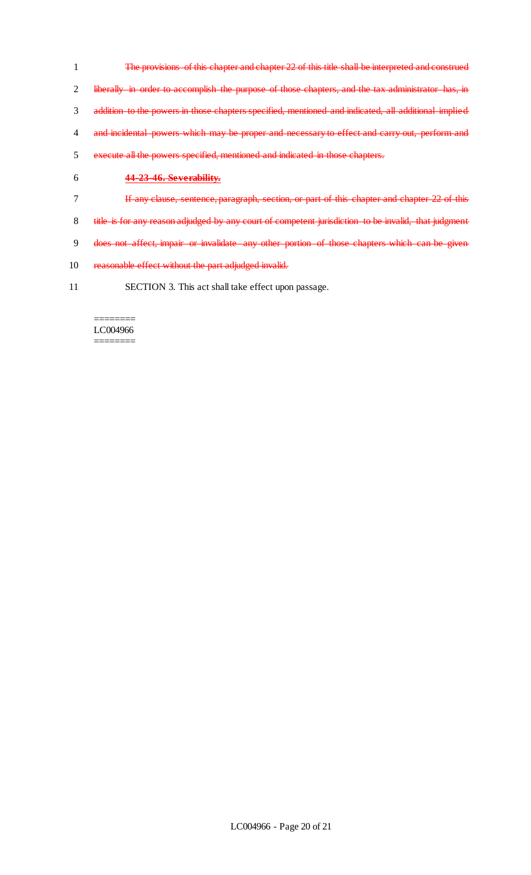- 1 The provisions of this chapter and chapter 22 of this title shall be interpreted and construed 2 liberally in order to accomplish the purpose of those chapters, and the tax administrator has, in 3 addition to the powers in those chapters specified, mentioned and indicated, all additional implied 4 and incidental powers which may be proper and necessary to effect and carry out, perform and
- 5 execute all the powers specified, mentioned and indicated in those chapters.
- 6 **44-23-46. Severability.**
- 7 If any clause, sentence, paragraph, section, or part of this chapter and chapter 22 of this
- 8 title is for any reason adjudged by any court of competent jurisdiction to be invalid, that judgment
- 9 does not affect, impair or invalidate any other portion of those chapters which can be given
- 10 reasonable effect without the part adjudged invalid.
- 11 SECTION 3. This act shall take effect upon passage.

#### ======== LC004966 ========